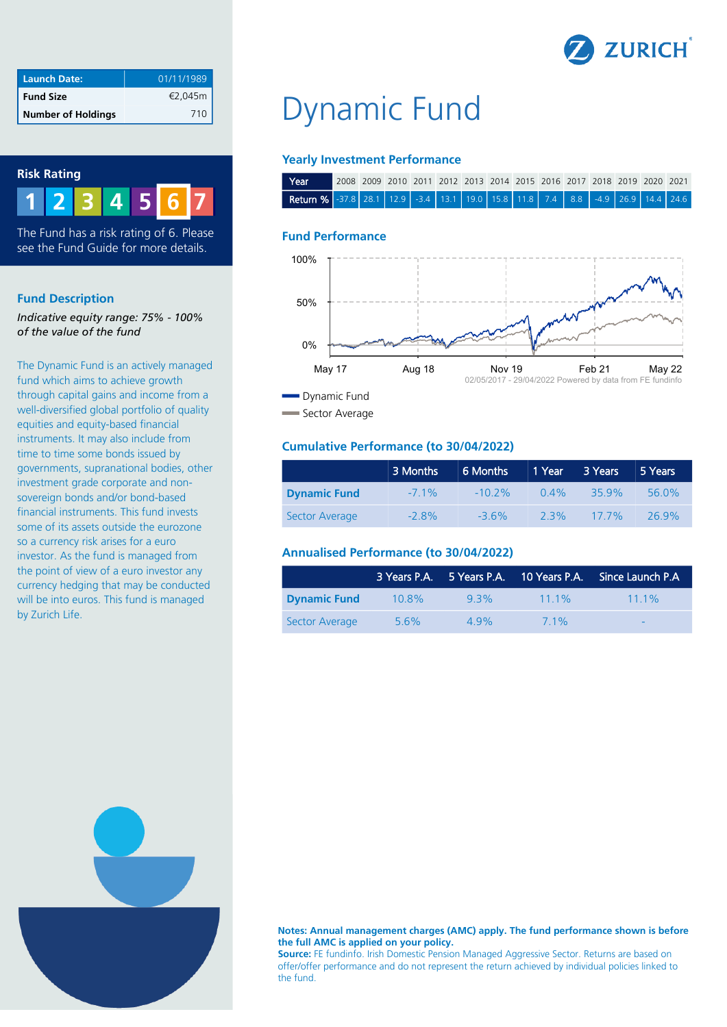

| <b>Launch Date:</b>       | 01/11/1989 |
|---------------------------|------------|
| <b>Fund Size</b>          | €2,045m    |
| <b>Number of Holdings</b> | 710        |

## **Risk Rating**



The Fund has a risk rating of 6. Please see the Fund Guide for more details.

## **Fund Description**

*Indicative equity range: 75% - 100% of the value of the fund*

The Dynamic Fund is an actively managed fund which aims to achieve growth through capital gains and income from a well-diversified global portfolio of quality equities and equity-based financial instruments. It may also include from time to time some bonds issued by governments, supranational bodies, other investment grade corporate and nonsovereign bonds and/or bond-based financial instruments. This fund invests some of its assets outside the eurozone so a currency risk arises for a euro investor. As the fund is managed from the point of view of a euro investor any currency hedging that may be conducted will be into euros. This fund is managed by Zurich Life.

# Dynamic Fund

## **Yearly Investment Performance**

| l Year                                                                     |  |  |  |  |  |  | 2008 2009 2010 2011 2012 2013 2014 2015 2016 2017 2018 2019 2020 2021 |  |
|----------------------------------------------------------------------------|--|--|--|--|--|--|-----------------------------------------------------------------------|--|
| Return % 37.8 28.1 12.9 3.4 13.1 19.0 15.8 11.8 7.4 8.8 3.9 26.9 14.4 24.6 |  |  |  |  |  |  |                                                                       |  |

## **Fund Performance**



Sector Average

# **Cumulative Performance (to 30/04/2022)**

|                     | 3 Months | 6 Months  | 1 Year  | 3 Years  | 5 Years |
|---------------------|----------|-----------|---------|----------|---------|
| <b>Dynamic Fund</b> | $-71\%$  | $-10.2\%$ | $0.4\%$ | $-359\%$ | 56.0%   |
| Sector Average      | $-28%$   | $-36%$    | 2.3%    | $177\%$  | 269%    |

# **Annualised Performance (to 30/04/2022)**

|                     |          |      | $\overline{3}$ Years P.A. 5 Years P.A. 10 Years P.A. | Since Launch P.A         |
|---------------------|----------|------|------------------------------------------------------|--------------------------|
| <b>Dynamic Fund</b> | $10.8\%$ | 93%  | $111\%$                                              | $111\%$                  |
| Sector Average      | $5.6\%$  | 4 9% | 7 1%                                                 | $\overline{\phantom{0}}$ |



#### **Notes: Annual management charges (AMC) apply. The fund performance shown is before the full AMC is applied on your policy.**

**Source:** FE fundinfo. Irish Domestic Pension Managed Aggressive Sector. Returns are based on offer/offer performance and do not represent the return achieved by individual policies linked to the fund.